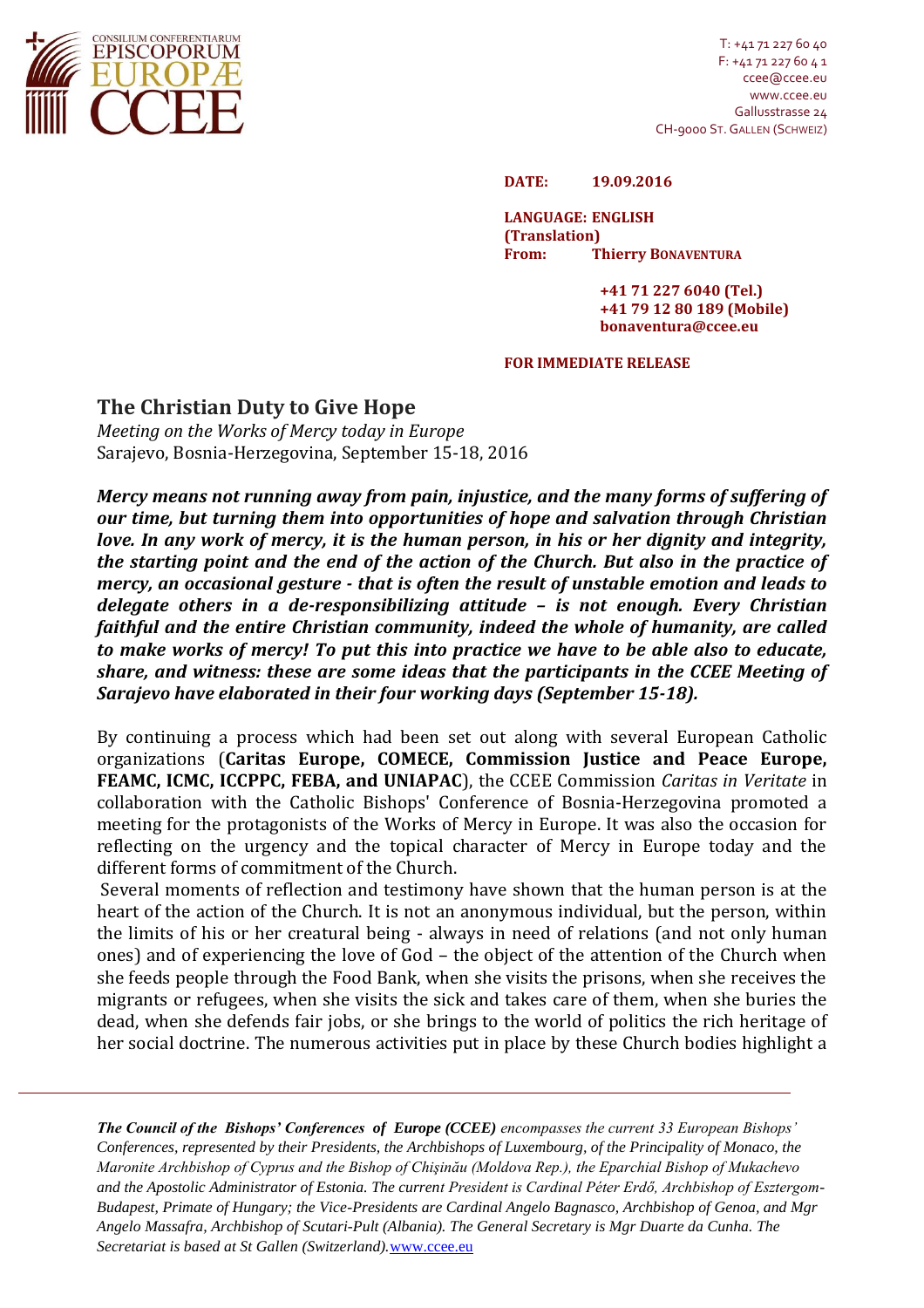

T: +41 71 227 60 40 F: +41 71 227 60 4 1 ccee@ccee.eu www.ccee.eu Gallusstrasse 24 CH-9000 ST.GALLEN (SCHWEIZ)

**DATE: 19.09.2016**

**LANGUAGE: ENGLISH (Translation) From: Thierry BONAVENTURA**

> **+41 71 227 6040 (Tel.) +41 79 12 80 189 (Mobile) bonaventura@ccee.eu**

## **FOR IMMEDIATE RELEASE**

## **The Christian Duty to Give Hope**

*Meeting on the Works of Mercy today in Europe* Sarajevo, Bosnia-Herzegovina, September 15-18, 2016

*Mercy means not running away from pain, injustice, and the many forms of suffering of our time, but turning them into opportunities of hope and salvation through Christian love. In any work of mercy, it is the human person, in his or her dignity and integrity, the starting point and the end of the action of the Church. But also in the practice of mercy, an occasional gesture - that is often the result of unstable emotion and leads to delegate others in a de-responsibilizing attitude – is not enough. Every Christian faithful and the entire Christian community, indeed the whole of humanity, are called to make works of mercy! To put this into practice we have to be able also to educate, share, and witness: these are some ideas that the participants in the CCEE Meeting of Sarajevo have elaborated in their four working days (September 15-18).*

By continuing a process which had been set out along with several European Catholic organizations (**Caritas Europe, COMECE, Commission Justice and Peace Europe, FEAMC, ICMC, ICCPPC, FEBA, and UNIAPAC**), the CCEE Commission *Caritas in Veritate* in collaboration with the Catholic Bishops' Conference of Bosnia-Herzegovina promoted a meeting for the protagonists of the Works of Mercy in Europe. It was also the occasion for reflecting on the urgency and the topical character of Mercy in Europe today and the different forms of commitment of the Church.

Several moments of reflection and testimony have shown that the human person is at the heart of the action of the Church. It is not an anonymous individual, but the person, within the limits of his or her creatural being - always in need of relations (and not only human ones) and of experiencing the love of God – the object of the attention of the Church when she feeds people through the Food Bank, when she visits the prisons, when she receives the migrants or refugees, when she visits the sick and takes care of them, when she buries the dead, when she defends fair jobs, or she brings to the world of politics the rich heritage of her social doctrine. The numerous activities put in place by these Church bodies highlight a

*The Council of the Bishops' Conferences of Europe (CCEE) encompasses the current 33 European Bishops' Conferences, represented by their Presidents, the Archbishops of Luxembourg, of the Principality of Monaco, the Maronite Archbishop of Cyprus and the Bishop of Chişinău (Moldova Rep.), the Eparchial Bishop of Mukachevo and the Apostolic Administrator of Estonia. The current President is Cardinal Péter Erdő, Archbishop of Esztergom-Budapest, Primate of Hungary; the Vice-Presidents are Cardinal Angelo Bagnasco, Archbishop of Genoa, and Mgr Angelo Massafra, Archbishop of Scutari-Pult (Albania). The General Secretary is Mgr Duarte da Cunha. The Secretariat is based at St Gallen (Switzerland).*[www.ccee.eu](http://www.ccee.eu/)